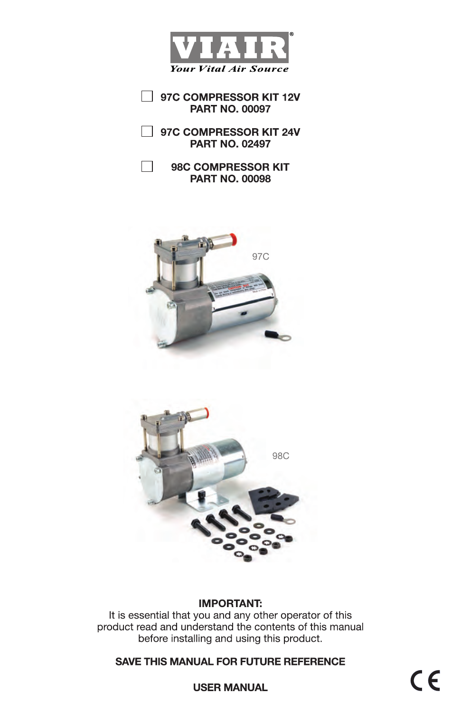

97C COMPRESSOR KIT 12V **PART NO. 00097** 

□ 97C COMPRESSOR KIT 24V **PART NO. 02497** 

 $\Box$ 98C COMPRESSOR KIT **PART NO. 00098** 





## **IMPORTANT:**

It is essential that you and any other operator of this product read and understand the contents of this manual before installing and using this product.

## **SAVE THIS MANUAL FOR FUTURE REFERENCE**

 $\epsilon$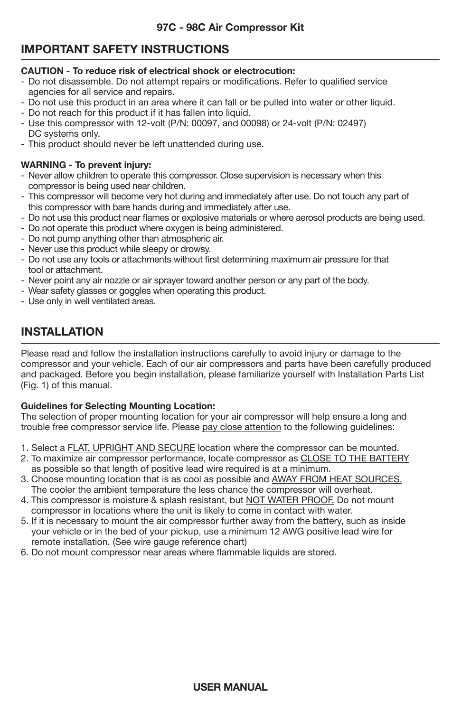# **IMPORTANT SAFETY INSTRUCTIONS**

#### **CAUTION - To reduce risk of electrical shock or electrocution:**

- Do not disassemble. Do not attempt repairs or modifications. Refer to qualified service agencies for all service and repairs.
- Do not use this product in an area where it can fall or be pulled into water or other liquid.
- Do not reach for this product if it has fallen into liquid.
- Use this compressor with 12-volt (P/N: 00097, and 00098) or 24-volt (P/N: 02497) DC systems only.
- This product should never be left unattended during use.

## **WARNING - To prevent injury:**

- Never allow children to operate this compressor. Close supervision is necessary when this compressor is being used near children.
- This compressor will become very hot during and immediately after use. Do not touch any part of this compressor with bare hands during and immediately after use.
- Do not use this product near flames or explosive materials or where aerosol products are being used.
- Do not operate this product where oxygen is being administered.
- Do not pump anything other than atmospheric air.
- Never use this product while sleepy or drowsy.
- Do not use any tools or attachments without first determining maximum air pressure for that tool or attachment.
- Never point any air nozzle or air sprayer toward another person or any part of the body.
- Wear safety glasses or goggles when operating this product.
- Use only in well ventilated areas.

# **INSTALLATION**

Please read and follow the installation instructions carefully to avoid injury or damage to the compressor and your vehicle. Each of our air compressors and parts have been carefully produced and packaged. Before you begin installation, please familiarize yourself with Installation Parts List (Fig. 1) of this manual.

## **Guidelines for Selecting Mounting Location:**

The selection of proper mounting location for your air compressor will help ensure a long and trouble free compressor service life. Please pay close attention to the following guidelines:

- 1. Select a FLAT, UPRIGHT AND SECURE location where the compressor can be mounted.
- 2. To maximize air compressor performance, locate compressor as CLOSE TO THE BATTERY as possible so that length of positive lead wire required is at a minimum.
- 3. Choose mounting location that is as cool as possible and AWAY FROM HEAT SOURCES. The cooler the ambient temperature the less chance the compressor will overheat.
- 4. This compressor is moisture & splash resistant, but NOT WATER PROOF. Do not mount compressor in locations where the unit is likely to come in contact with water.
- 5. If it is necessary to mount the air compressor further away from the battery, such as inside your vehicle or in the bed of your pickup, use a minimum 12 AWG positive lead wire for remote installation. (See wire gauge reference chart)
- 6. Do not mount compressor near areas where flammable liquids are stored.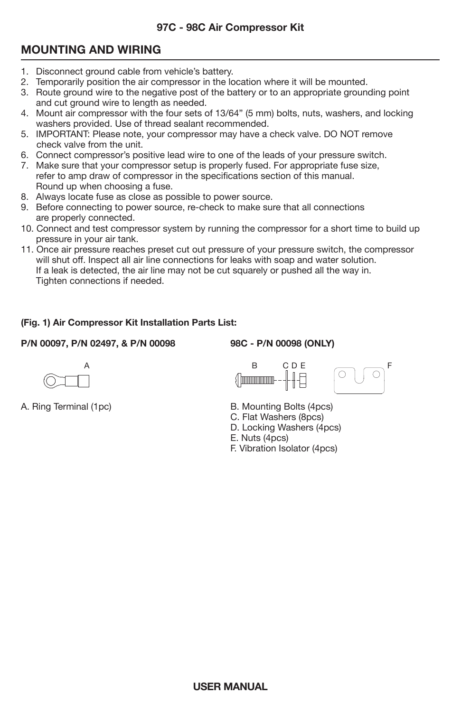## **97C - 98C Air Compressor Kit**

# **MOUNTING AND WIRING**

- 1. Disconnect ground cable from vehicle's battery.
- 2. Temporarily position the air compressor in the location where it will be mounted.
- 3. Route ground wire to the negative post of the battery or to an appropriate grounding point and cut ground wire to length as needed.
- 4. Mount air compressor with the four sets of 13/64" (5 mm) bolts, nuts, washers, and locking washers provided. Use of thread sealant recommended.
- 5. IMPORTANT: Please note, your compressor may have a check valve. DO NOT remove check valve from the unit.
- 6. Connect compressor's positive lead wire to one of the leads of your pressure switch.
- 7. Make sure that your compressor setup is properly fused. For appropriate fuse size, refer to amp draw of compressor in the specifications section of this manual. Round up when choosing a fuse.
- 8. Always locate fuse as close as possible to power source.
- 9. Before connecting to power source, re-check to make sure that all connections are properly connected.
- 10. Connect and test compressor system by running the compressor for a short time to build up pressure in your air tank.
- 11. Once air pressure reaches preset cut out pressure of your pressure switch, the compressor will shut off. Inspect all air line connections for leaks with soap and water solution. If a leak is detected, the air line may not be cut squarely or pushed all the way in. Tighten connections if needed.

# **(Fig. 1) Air Compressor Kit Installation Parts List:**

## **P/N 00097, P/N 02497, & P/N 00098 98C - P/N 00098 (ONLY)**







- A. Ring Terminal (1pc)  $\qquad \qquad$  B. Mounting Bolts (4pcs)
	- C. Flat Washers (8pcs)
	- D. Locking Washers (4pcs)
	- E. Nuts (4pcs)
	- F. Vibration Isolator (4pcs)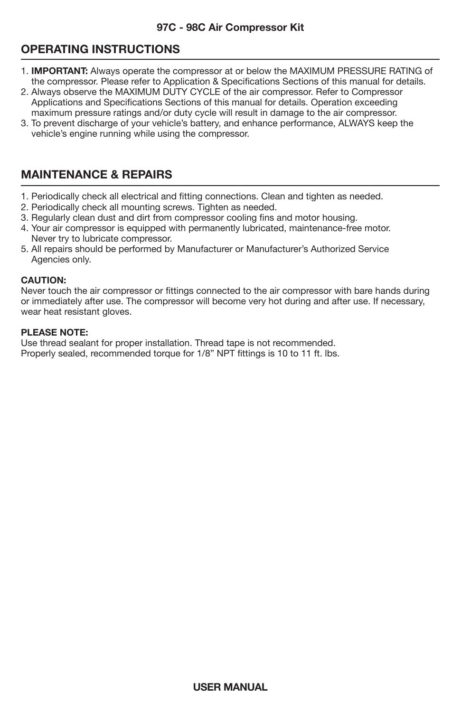# **OPERATING INSTRUCTIONS**

- j 1. **IMPORTANT:** Always operate the compressor at or below the MAXIMUM PRESSURE RATING of the compressor. Please refer to Application & Specifications Sections of this manual for details.
- 2. Always observe the MAXIMUM DUTY CYCLE of the air compressor. Refer to Compressor Applications and Specifications Sections of this manual for details. Operation exceeding maximum pressure ratings and/or duty cycle will result in damage to the air compressor.
- 3. To prevent discharge of your vehicle's battery, and enhance performance, ALWAYS keep the vehicle's engine running while using the compressor.

# **MAINTENANCE & REPAIRS**

- 1. Periodically check all electrical and fitting connections. Clean and tighten as needed.
- 2. Periodically check all mounting screws. Tighten as needed.
- 3. Regularly clean dust and dirt from compressor cooling fins and motor housing.
- 4. Your air compressor is equipped with permanently lubricated, maintenance-free motor. Never try to lubricate compressor.
- 5. All repairs should be performed by Manufacturer or Manufacturer's Authorized Service Agencies only.

#### **CAUTION:**

Never touch the air compressor or fittings connected to the air compressor with bare hands during or immediately after use. The compressor will become very hot during and after use. If necessary, wear heat resistant gloves.

## **PLEASE NOTE:**

Use thread sealant for proper installation. Thread tape is not recommended. Properly sealed, recommended torque for 1/8" NPT fittings is 10 to 11 ft. lbs.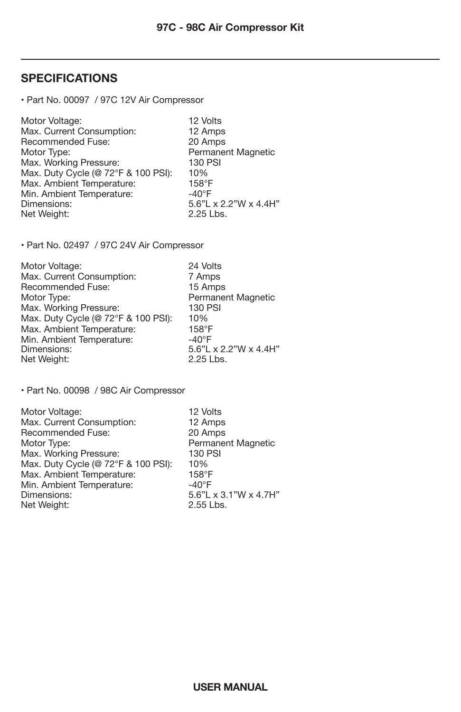# **SPECIFICATIONS**

• Part No. 00097 / 97C 12V Air Compressor

| Motor Voltage:                      | 12 Volts                 |
|-------------------------------------|--------------------------|
| Max. Current Consumption:           | 12 Amps                  |
| Recommended Fuse:                   | 20 Amps                  |
| Motor Type:                         | Permanent Magnetic       |
| Max. Working Pressure:              | 130 PSI                  |
| Max. Duty Cycle (@ 72°F & 100 PSI): | 10%                      |
| Max. Ambient Temperature:           | $158^\circ F$            |
| Min. Ambient Temperature:           | $-40^{\circ}$ F          |
| Dimensions:                         | $5.6"$ L x 2.2"W x 4.4H" |
| Net Weight:                         | 2.25 Lbs.                |

• Part No. 02497 / 97C 24V Air Compressor

| Motor Voltage:                      | 24 Volts                 |
|-------------------------------------|--------------------------|
| Max. Current Consumption:           | 7 Amps                   |
| Recommended Fuse:                   | 15 Amps                  |
| Motor Type:                         | Permanent Magnetic       |
| Max. Working Pressure:              | <b>130 PSI</b>           |
| Max. Duty Cycle (@ 72°F & 100 PSI): | 10%                      |
| Max. Ambient Temperature:           | $158^\circ F$            |
| Min. Ambient Temperature:           | $-40^{\circ}$ F          |
| Dimensions:                         | $5.6"$ L x 2.2"W x 4.4H" |
| Net Weight:                         | 2.25 Lbs.                |

• Part No. 00098 / 98C Air Compressor

| Motor Voltage:                      | 12 Volts              |
|-------------------------------------|-----------------------|
| Max. Current Consumption:           | 12 Amps               |
| Recommended Fuse:                   | 20 Amps               |
| Motor Type:                         | Permanent Magnetic    |
| Max. Working Pressure:              | 130 PSI               |
| Max. Duty Cycle (@ 72°F & 100 PSI): | 10%                   |
| Max. Ambient Temperature:           | $158^{\circ}$ F       |
| Min. Ambient Temperature:           | $-40^{\circ}$ F       |
| Dimensions:                         | 5.6"L x 3.1"W x 4.7H" |
| Net Weight:                         | 2.55 Lbs.             |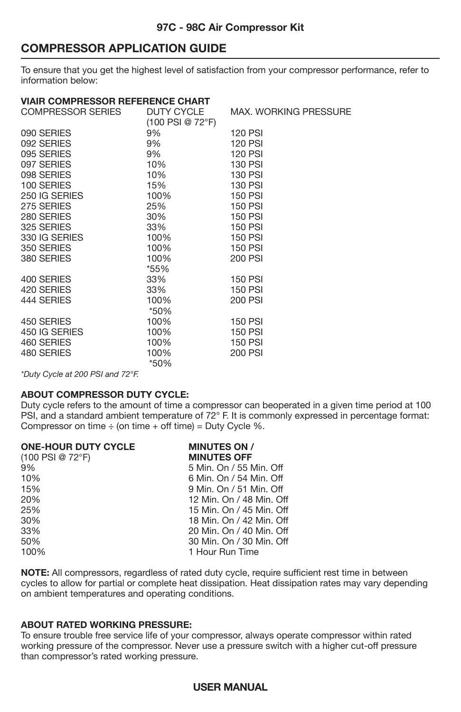# **COMPRESSOR APPLICATION GUIDE**

To ensure that you get the highest level of satisfaction from your compressor performance, refer to information below:

## **VIAIR COMPRESSOR REFERENCE CHART**

| <b>COMPRESSOR SERIES</b> | DUTY CYCLE<br>(100 PSI @ 72°F) | <b>MAX. WORKING PRESSURE</b> |
|--------------------------|--------------------------------|------------------------------|
| 090 SERIES               | 9%                             | <b>120 PSI</b>               |
| 092 SERIES               | 9%                             | <b>120 PSI</b>               |
| 095 SERIES               | 9%                             | <b>120 PSI</b>               |
| 097 SERIES               | 10%                            | 130 PSI                      |
| 098 SERIES               | 10%                            | <b>130 PSI</b>               |
| 100 SERIES               | 15%                            | 130 PSI                      |
| 250 IG SERIES            | 100%                           | <b>150 PSI</b>               |
| 275 SERIES               | 25%                            | <b>150 PSI</b>               |
| 280 SERIES               | 30%                            | <b>150 PSI</b>               |
| 325 SERIES               | 33%                            | 150 PSI                      |
| 330 IG SERIES            | 100%                           | <b>150 PSI</b>               |
| 350 SERIES               | 100%                           | <b>150 PSI</b>               |
| 380 SERIES               | 100%                           | 200 PSI                      |
|                          | *55%                           |                              |
| 400 SERIES               | 33%                            | <b>150 PSI</b>               |
| 420 SERIES               | 33%                            | <b>150 PSI</b>               |
| 444 SERIES               | 100%                           | 200 PSI                      |
|                          | *50%                           |                              |
| 450 SERIES               | 100%                           | <b>150 PSI</b>               |
| 450 IG SERIES            | 100%                           | <b>150 PSI</b>               |
| 460 SERIES               | 100%                           | <b>150 PSI</b>               |
| 480 SERIES               | 100%                           | 200 PSI                      |
|                          | *50%                           |                              |

*\*Duty Cycle at 200 PSI and 72°F.*

#### **ABOUT COMPRESSOR DUTY CYCLE:**

Duty cycle refers to the amount of time a compressor can be
operated in a given time period at 100 PSI, and a standard ambient temperature of 72° F. It is commonly expressed in percentage format: Compressor on time  $\div$  (on time  $+$  off time) = Duty Cycle %.

| <b>ONE-HOUR DUTY CYCLE</b> | <b>MINUTES ON /</b>      |
|----------------------------|--------------------------|
| $(100$ PSI @ 72°F)         | <b>MINUTES OFF</b>       |
| 9%                         | 5 Min. On / 55 Min. Off  |
| 10%                        | 6 Min. On / 54 Min. Off  |
| 15%                        | 9 Min. On / 51 Min. Off  |
| 20%                        | 12 Min. On / 48 Min. Off |
| 25%                        | 15 Min. On / 45 Min. Off |
| 30%                        | 18 Min. On / 42 Min. Off |
| 33%                        | 20 Min. On / 40 Min. Off |
| 50%                        | 30 Min. On / 30 Min. Off |
| 100%                       | 1 Hour Run Time          |

**NOTE:** All compressors, regardless of rated duty cycle, require sufficient rest time in between cycles to allow for partial or complete heat dissipation. Heat dissipation rates may vary depending on ambient temperatures and operating conditions.

#### **ABOUT RATED WORKING PRESSURE:**

To ensure trouble free service life of your compressor, always operate compressor within rated working pressure of the compressor. Never use a pressure switch with a higher cut-off pressure than compressor's rated working pressure.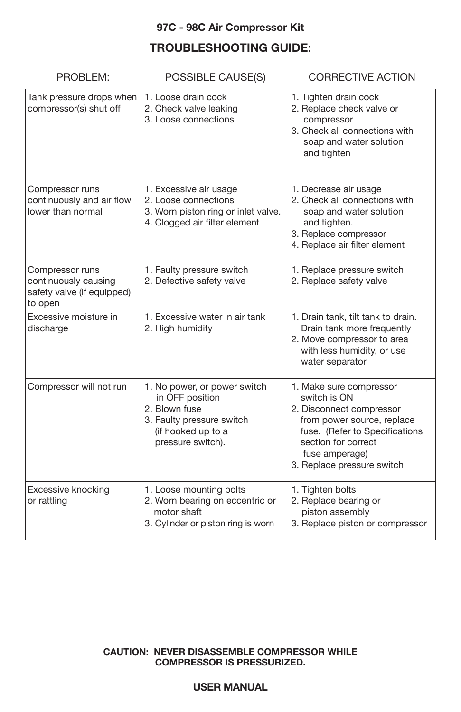## **97C - 98C Air Compressor Kit**

# **TROUBLESHOOTING GUIDE:**

| PROBLEM:                                                                         | <b>CORRECTIVE ACTION</b><br>POSSIBLE CAUSE(S)                                                                                            |                                                                                                                                                                                                            |  |
|----------------------------------------------------------------------------------|------------------------------------------------------------------------------------------------------------------------------------------|------------------------------------------------------------------------------------------------------------------------------------------------------------------------------------------------------------|--|
| Tank pressure drops when<br>compressor(s) shut off                               | 1. Loose drain cock<br>2. Check valve leaking<br>3. Loose connections                                                                    | 1. Tighten drain cock<br>2. Replace check valve or<br>compressor<br>3. Check all connections with<br>soap and water solution<br>and tighten                                                                |  |
| Compressor runs<br>continuously and air flow<br>lower than normal                | 1. Excessive air usage<br>2. Loose connections<br>3. Worn piston ring or inlet valve.<br>4. Clogged air filter element                   | 1. Decrease air usage<br>2. Check all connections with<br>soap and water solution<br>and tighten.<br>3. Replace compressor<br>4. Replace air filter element                                                |  |
| Compressor runs<br>continuously causing<br>safety valve (if equipped)<br>to open | 1. Faulty pressure switch<br>2. Defective safety valve                                                                                   | 1. Replace pressure switch<br>2. Replace safety valve                                                                                                                                                      |  |
| Excessive moisture in<br>discharge                                               | 1. Excessive water in air tank<br>2. High humidity                                                                                       | 1. Drain tank, tilt tank to drain.<br>Drain tank more frequently<br>2. Move compressor to area<br>with less humidity, or use<br>water separator                                                            |  |
| Compressor will not run                                                          | 1. No power, or power switch<br>in OFF position<br>2. Blown fuse<br>3. Faulty pressure switch<br>(if hooked up to a<br>pressure switch). | 1. Make sure compressor<br>switch is ON<br>2. Disconnect compressor<br>from power source, replace<br>fuse. (Refer to Specifications<br>section for correct<br>fuse amperage)<br>3. Replace pressure switch |  |
| Excessive knocking<br>or rattling                                                | 1. Loose mounting bolts<br>2. Worn bearing on eccentric or<br>motor shaft<br>3. Cylinder or piston ring is worn                          | 1. Tighten bolts<br>2. Replace bearing or<br>piston assembly<br>3. Replace piston or compressor                                                                                                            |  |

## **CAUTION: NEVER DISASSEMBLE COMPRESSOR WHILE COMPRESSOR IS PRESSURIZED.**